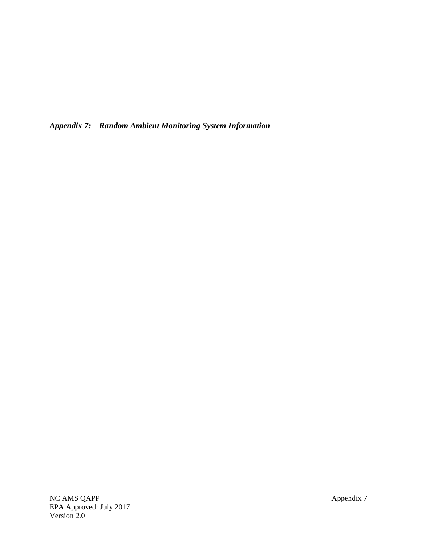*Appendix 7: Random Ambient Monitoring System Information*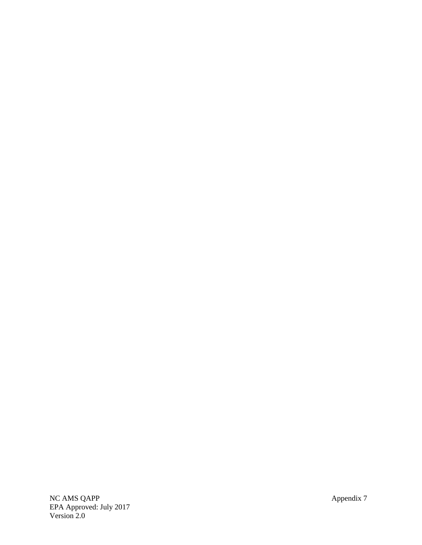NC AMS QAPP Appendix EPA Approved: July 2017 Version 2.0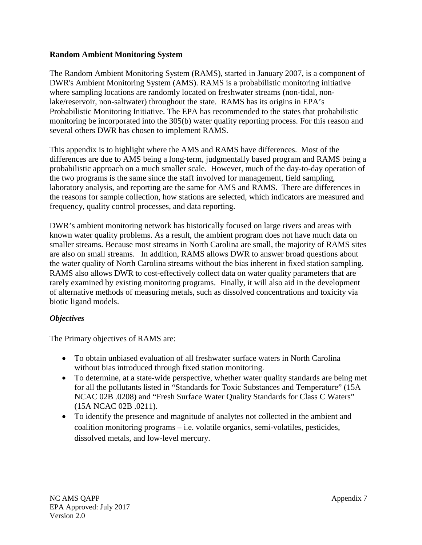#### **Random Ambient Monitoring System**

The Random Ambient Monitoring System (RAMS), started in January 2007, is a component of DWR's Ambient Monitoring System (AMS). RAMS is a probabilistic monitoring initiative where sampling locations are randomly located on freshwater streams (non-tidal, nonlake/reservoir, non-saltwater) throughout the state. RAMS has its origins in EPA's Probabilistic Monitoring Initiative. The EPA has recommended to the states that probabilistic monitoring be incorporated into the 305(b) water quality reporting process. For this reason and several others DWR has chosen to implement RAMS.

This appendix is to highlight where the AMS and RAMS have differences. Most of the differences are due to AMS being a long-term, judgmentally based program and RAMS being a probabilistic approach on a much smaller scale. However, much of the day-to-day operation of the two programs is the same since the staff involved for management, field sampling, laboratory analysis, and reporting are the same for AMS and RAMS. There are differences in the reasons for sample collection, how stations are selected, which indicators are measured and frequency, quality control processes, and data reporting.

DWR's ambient monitoring network has historically focused on large rivers and areas with known water quality problems. As a result, the ambient program does not have much data on smaller streams. Because most streams in North Carolina are small, the majority of RAMS sites are also on small streams. In addition, RAMS allows DWR to answer broad questions about the water quality of North Carolina streams without the bias inherent in fixed station sampling. RAMS also allows DWR to cost-effectively collect data on water quality parameters that are rarely examined by existing monitoring programs. Finally, it will also aid in the development of alternative methods of measuring metals, such as dissolved concentrations and toxicity via biotic ligand models.

## *Objectives*

The Primary objectives of RAMS are:

- To obtain unbiased evaluation of all freshwater surface waters in North Carolina without bias introduced through fixed station monitoring.
- To determine, at a state-wide perspective, whether water quality standards are being met for all the pollutants listed in "Standards for Toxic Substances and Temperature" (15A NCAC 02B .0208) and "Fresh Surface Water Quality Standards for Class C Waters" (15A NCAC 02B .0211).
- To identify the presence and magnitude of analytes not collected in the ambient and coalition monitoring programs – i.e. volatile organics, semi-volatiles, pesticides, dissolved metals, and low-level mercury.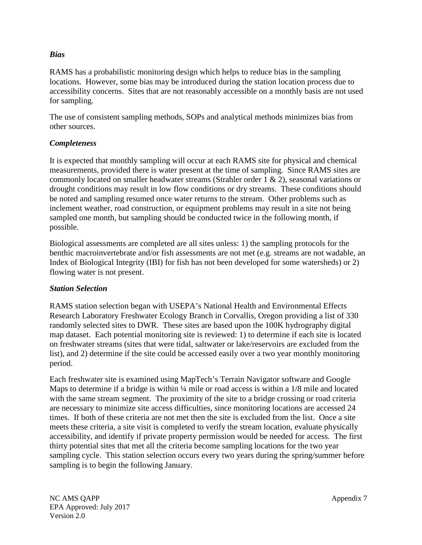#### *Bias*

RAMS has a probabilistic monitoring design which helps to reduce bias in the sampling locations. However, some bias may be introduced during the station location process due to accessibility concerns. Sites that are not reasonably accessible on a monthly basis are not used for sampling.

The use of consistent sampling methods, SOPs and analytical methods minimizes bias from other sources.

#### *Completeness*

It is expected that monthly sampling will occur at each RAMS site for physical and chemical measurements, provided there is water present at the time of sampling. Since RAMS sites are commonly located on smaller headwater streams (Strahler order 1 & 2), seasonal variations or drought conditions may result in low flow conditions or dry streams. These conditions should be noted and sampling resumed once water returns to the stream. Other problems such as inclement weather, road construction, or equipment problems may result in a site not being sampled one month, but sampling should be conducted twice in the following month, if possible.

Biological assessments are completed are all sites unless: 1) the sampling protocols for the benthic macroinvertebrate and/or fish assessments are not met (e.g. streams are not wadable, an Index of Biological Integrity (IBI) for fish has not been developed for some watersheds) or 2) flowing water is not present.

## *Station Selection*

RAMS station selection began with USEPA's National Health and Environmental Effects Research Laboratory Freshwater Ecology Branch in Corvallis, Oregon providing a list of 330 randomly selected sites to DWR. These sites are based upon the 100K hydrography digital map dataset. Each potential monitoring site is reviewed: 1) to determine if each site is located on freshwater streams (sites that were tidal, saltwater or lake/reservoirs are excluded from the list), and 2) determine if the site could be accessed easily over a two year monthly monitoring period.

Each freshwater site is examined using MapTech's Terrain Navigator software and Google Maps to determine if a bridge is within  $\frac{1}{4}$  mile or road access is within a  $\frac{1}{8}$  mile and located with the same stream segment. The proximity of the site to a bridge crossing or road criteria are necessary to minimize site access difficulties, since monitoring locations are accessed 24 times. If both of these criteria are not met then the site is excluded from the list. Once a site meets these criteria, a site visit is completed to verify the stream location, evaluate physically accessibility, and identify if private property permission would be needed for access. The first thirty potential sites that met all the criteria become sampling locations for the two year sampling cycle. This station selection occurs every two years during the spring/summer before sampling is to begin the following January.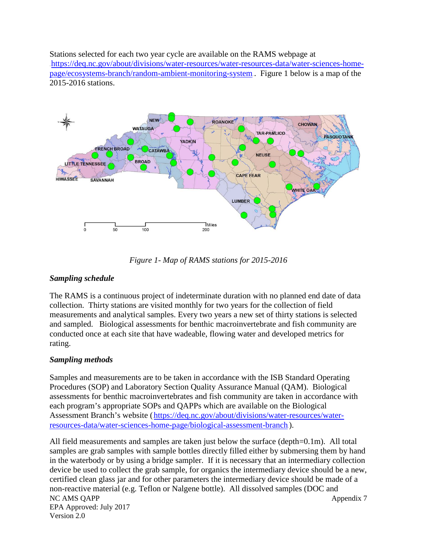Stations selected for each two year cycle are available on the RAMS webpage at 32TU[https://deq.nc.gov/about/divisions/water-resources/water-resources-data/water-sciences-home](https://deq.nc.gov/about/divisions/water-resources/water-resources-data/water-sciences-home-page/ecosystems-branch/random-ambient-monitoring-system)[page/ecosystems-branch/random-ambient-monitoring-system](https://deq.nc.gov/about/divisions/water-resources/water-resources-data/water-sciences-home-page/ecosystems-branch/random-ambient-monitoring-system). Figure 1 below is a map of the 2015-2016 stations.



*Figure 1- Map of RAMS stations for 2015-2016*

## *Sampling schedule*

The RAMS is a continuous project of indeterminate duration with no planned end date of data collection. Thirty stations are visited monthly for two years for the collection of field measurements and analytical samples. Every two years a new set of thirty stations is selected and sampled. Biological assessments for benthic macroinvertebrate and fish community are conducted once at each site that have wadeable, flowing water and developed metrics for rating.

# *Sampling methods*

Samples and measurements are to be taken in accordance with the ISB Standard Operating Procedures (SOP) and Laboratory Section Quality Assurance Manual (QAM). Biological assessments for benthic macroinvertebrates and fish community are taken in accordance with each program's appropriate SOPs and QAPPs which are available on the Biological Assessment Branch's website ( $\frac{https://deq.ncbi.org/about/divisions/water-resources/water$ [resources-data/water-sciences-home-page/biological-assessment-branch](https://deq.nc.gov/about/divisions/water-resources/water-resources-data/water-sciences-home-page/biological-assessment-branch)).

NC AMS QAPP Appendix 7 EPA Approved: July 2017 Version 2.0 All field measurements and samples are taken just below the surface (depth=0.1m). All total samples are grab samples with sample bottles directly filled either by submersing them by hand in the waterbody or by using a bridge sampler. If it is necessary that an intermediary collection device be used to collect the grab sample, for organics the intermediary device should be a new, certified clean glass jar and for other parameters the intermediary device should be made of a non-reactive material (e.g. Teflon or Nalgene bottle). All dissolved samples (DOC and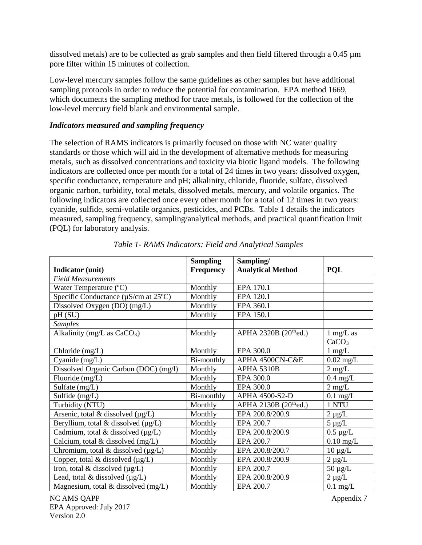dissolved metals) are to be collected as grab samples and then field filtered through a  $0.45 \mu m$ pore filter within 15 minutes of collection.

Low-level mercury samples follow the same guidelines as other samples but have additional sampling protocols in order to reduce the potential for contamination. EPA method 1669, which documents the sampling method for trace metals, is followed for the collection of the low-level mercury field blank and environmental sample.

## *Indicators measured and sampling frequency*

The selection of RAMS indicators is primarily focused on those with NC water quality standards or those which will aid in the development of alternative methods for measuring metals, such as dissolved concentrations and toxicity via biotic ligand models. The following indicators are collected once per month for a total of 24 times in two years: dissolved oxygen, specific conductance, temperature and pH; alkalinity, chloride, fluoride, sulfate, dissolved organic carbon, turbidity, total metals, dissolved metals, mercury, and volatile organics. The following indicators are collected once every other month for a total of 12 times in two years: cyanide, sulfide, semi-volatile organics, pesticides, and PCBs. Table 1 details the indicators measured, sampling frequency, sampling/analytical methods, and practical quantification limit (PQL) for laboratory analysis.

| Indicator (unit)                             | <b>Sampling</b><br>Frequency | Sampling/<br><b>Analytical Method</b> | <b>PQL</b>          |
|----------------------------------------------|------------------------------|---------------------------------------|---------------------|
| <b>Field Measurements</b>                    |                              |                                       |                     |
| Water Temperature (°C)                       | Monthly                      | EPA 170.1                             |                     |
|                                              | Monthly                      | EPA 120.1                             |                     |
| Specific Conductance ( $\mu$ S/cm at 25°C)   |                              |                                       |                     |
| Dissolved Oxygen (DO) (mg/L)                 | Monthly                      | EPA 360.1                             |                     |
| pH(SU)                                       | Monthly                      | EPA 150.1                             |                     |
| <b>Samples</b>                               |                              |                                       |                     |
| Alkalinity (mg/L as $CaCO3$ )                | Monthly                      | APHA 2320B (20 <sup>th</sup> ed.)     | $1 \text{ mg/L}$ as |
|                                              |                              |                                       | CaCO <sub>3</sub>   |
| Chloride (mg/L)                              | Monthly                      | EPA 300.0                             | $1 \text{ mg/L}$    |
| Cyanide (mg/L)                               | Bi-monthly                   | APHA 4500CN-C&E                       | $0.02$ mg/L         |
| Dissolved Organic Carbon (DOC) (mg/l)        | Monthly                      | APHA 5310B                            | $2$ mg/L            |
| Fluoride (mg/L)                              | Monthly                      | EPA 300.0                             | $0.4$ mg/L          |
| Sulfate (mg/L)                               | Monthly                      | EPA 300.0                             | $2$ mg/L            |
| Sulfide (mg/L)                               | Bi-monthly                   | APHA 4500-S2-D                        | $0.1$ mg/L          |
| Turbidity (NTU)                              | Monthly                      | APHA 2130B $(20th$ ed.)               | 1 NTU               |
| Arsenic, total & dissolved $(\mu g/L)$       | Monthly                      | EPA 200.8/200.9                       | $2 \mu g/L$         |
| Beryllium, total $&$ dissolved ( $\mu g/L$ ) | Monthly                      | EPA 200.7                             | $5 \mu g/L$         |
| Cadmium, total & dissolved $(\mu g/L)$       | Monthly                      | EPA 200.8/200.9                       | $0.5 \mu$ g/L       |
| Calcium, total & dissolved (mg/L)            | Monthly                      | EPA 200.7                             | $0.10$ mg/L         |
| Chromium, total & dissolved $(\mu g/L)$      | Monthly                      | EPA 200.8/200.7                       | $10 \mu g/L$        |
| Copper, total & dissolved $(\mu g/L)$        | Monthly                      | EPA 200.8/200.9                       | $2 \mu g/L$         |
| Iron, total & dissolved $(\mu g/L)$          | Monthly                      | EPA 200.7                             | $50 \mu g/L$        |
| Lead, total $&$ dissolved ( $\mu g/L$ )      | Monthly                      | EPA 200.8/200.9                       | $2 \mu g/L$         |
| Magnesium, total $\&$ dissolved (mg/L)       | Monthly                      | EPA 200.7                             | $0.1$ mg/L          |

*Table 1- RAMS Indicators: Field and Analytical Samples*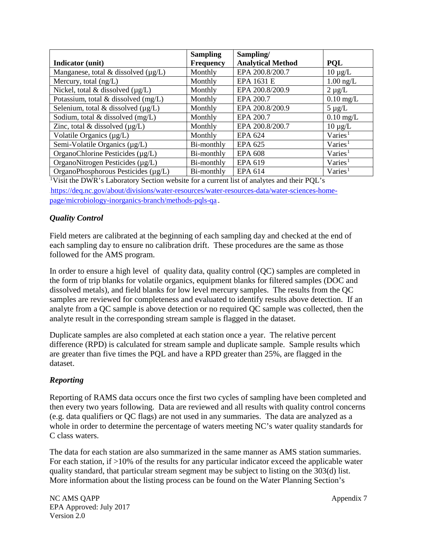|                                          | <b>Sampling</b>  | Sampling/                |                     |
|------------------------------------------|------------------|--------------------------|---------------------|
| Indicator (unit)                         | <b>Frequency</b> | <b>Analytical Method</b> | <b>POL</b>          |
| Manganese, total & dissolved $(\mu g/L)$ | Monthly          | EPA 200.8/200.7          | $10 \mu g/L$        |
| Mercury, total (ng/L)                    | Monthly          | EPA 1631 E               | $1.00$ ng/L         |
| Nickel, total $&$ dissolved $(\mu g/L)$  | Monthly          | EPA 200.8/200.9          | $2 \mu g/L$         |
| Potassium, total & dissolved (mg/L)      | Monthly          | EPA 200.7                | $0.10 \text{ mg/L}$ |
| Selenium, total & dissolved $(\mu g/L)$  | Monthly          | EPA 200.8/200.9          | $5 \mu g/L$         |
| Sodium, total & dissolved (mg/L)         | Monthly          | EPA 200.7                | $0.10$ mg/L         |
| Zinc, total & dissolved $(\mu g/L)$      | Monthly          | EPA 200.8/200.7          | $10 \mu g/L$        |
| Volatile Organics $(\mu g/L)$            | Monthly          | <b>EPA 624</b>           | Varies <sup>1</sup> |
| Semi-Volatile Organics $(\mu g/L)$       | Bi-monthly       | <b>EPA 625</b>           | Varies <sup>1</sup> |
| OrganoChlorine Pesticides (µg/L)         | Bi-monthly       | <b>EPA 608</b>           | Varies <sup>1</sup> |
| OrganoNitrogen Pesticides (µg/L)         | Bi-monthly       | <b>EPA 619</b>           | Varies <sup>1</sup> |
| OrganoPhosphorous Pesticides (µg/L)      | Bi-monthly       | EPA 614                  | Varies <sup>1</sup> |

<sup>1</sup> Visit the DWR's Laboratory Section website for a current list of analytes and their PQL's [https://deq.nc.gov/about/divisions/water-resources/water-resources-data/water-sciences-home](https://deq.nc.gov/about/divisions/water-resources/water-resources-data/water-sciences-home-page/microbiology-inorganics-branch/methods-pqls-qa)[page/microbiology-inorganics-branch/methods-pqls-qa](https://deq.nc.gov/about/divisions/water-resources/water-resources-data/water-sciences-home-page/microbiology-inorganics-branch/methods-pqls-qa).

## *Quality Control*

Field meters are calibrated at the beginning of each sampling day and checked at the end of each sampling day to ensure no calibration drift. These procedures are the same as those followed for the AMS program.

In order to ensure a high level of quality data, quality control (QC) samples are completed in the form of trip blanks for volatile organics, equipment blanks for filtered samples (DOC and dissolved metals), and field blanks for low level mercury samples. The results from the QC samples are reviewed for completeness and evaluated to identify results above detection. If an analyte from a QC sample is above detection or no required QC sample was collected, then the analyte result in the corresponding stream sample is flagged in the dataset.

Duplicate samples are also completed at each station once a year. The relative percent difference (RPD) is calculated for stream sample and duplicate sample. Sample results which are greater than five times the PQL and have a RPD greater than 25%, are flagged in the dataset.

## *Reporting*

Reporting of RAMS data occurs once the first two cycles of sampling have been completed and then every two years following. Data are reviewed and all results with quality control concerns (e.g. data qualifiers or QC flags) are not used in any summaries. The data are analyzed as a whole in order to determine the percentage of waters meeting NC's water quality standards for C class waters.

The data for each station are also summarized in the same manner as AMS station summaries. For each station, if >10% of the results for any particular indicator exceed the applicable water quality standard, that particular stream segment may be subject to listing on the 303(d) list. More information about the listing process can be found on the Water Planning Section's

NC AMS QAPP **Appendix 7** EPA Approved: July 2017 Version 2.0